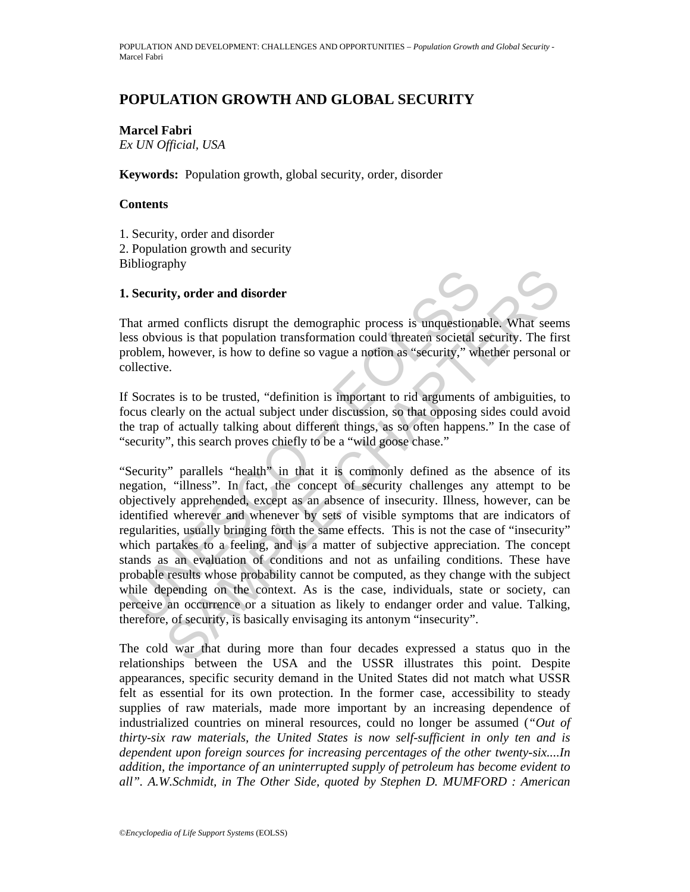# **POPULATION GROWTH AND GLOBAL SECURITY**

**Marcel Fabri**  *Ex UN Official, USA*

**Keywords:** Population growth, global security, order, disorder

### **Contents**

1. Security, order and disorder 2. Population growth and security Bibliography

### **1. Security, order and disorder**

That armed conflicts disrupt the demographic process is unquestionable. What seems less obvious is that population transformation could threaten societal security. The first problem, however, is how to define so vague a notion as "security," whether personal or collective.

If Socrates is to be trusted, "definition is important to rid arguments of ambiguities, to focus clearly on the actual subject under discussion, so that opposing sides could avoid the trap of actually talking about different things, as so often happens." In the case of "security", this search proves chiefly to be a "wild goose chase."

**Example 1.1**<br>
Security, order and disorder<br>
hat armed conflicts disrupt the demographic process is unquestionass<br>
solvious is that population transformation could threaten societal<br>
synchlentic.<br>
Toblem, however, is how Fig. order and disorder<br>
end conflicts disrupt the demographic process is unquestionable. What seem<br>
ous is that population transformation could threaten societal security. The fir<br>
however, is how to define so vague a not "Security" parallels "health" in that it is commonly defined as the absence of its negation, "illness". In fact, the concept of security challenges any attempt to be objectively apprehended, except as an absence of insecurity. Illness, however, can be identified wherever and whenever by sets of visible symptoms that are indicators of regularities, usually bringing forth the same effects. This is not the case of "insecurity" which partakes to a feeling, and is a matter of subjective appreciation. The concept stands as an evaluation of conditions and not as unfailing conditions. These have probable results whose probability cannot be computed, as they change with the subject while depending on the context. As is the case, individuals, state or society, can perceive an occurrence or a situation as likely to endanger order and value. Talking, therefore, of security, is basically envisaging its antonym "insecurity".

The cold war that during more than four decades expressed a status quo in the relationships between the USA and the USSR illustrates this point. Despite appearances, specific security demand in the United States did not match what USSR felt as essential for its own protection. In the former case, accessibility to steady supplies of raw materials, made more important by an increasing dependence of industrialized countries on mineral resources, could no longer be assumed (*"Out of thirty-six raw materials, the United States is now self-sufficient in only ten and is dependent upon foreign sources for increasing percentages of the other twenty-six....In addition, the importance of an uninterrupted supply of petroleum has become evident to all". A.W.Schmidt, in The Other Side, quoted by Stephen D. MUMFORD : American*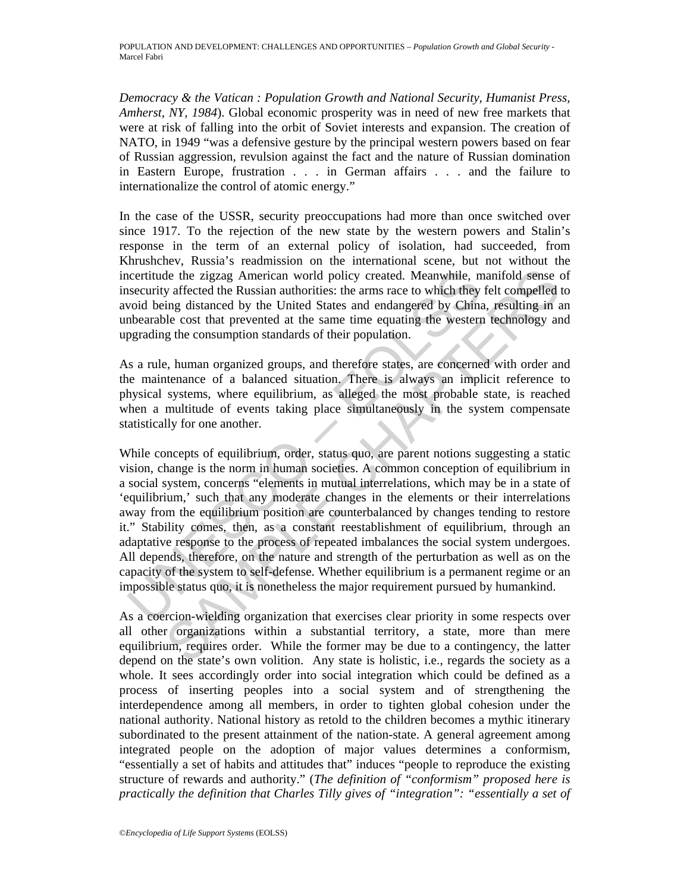*Democracy & the Vatican : Population Growth and National Security, Humanist Press, Amherst, NY, 1984*). Global economic prosperity was in need of new free markets that were at risk of falling into the orbit of Soviet interests and expansion. The creation of NATO, in 1949 "was a defensive gesture by the principal western powers based on fear of Russian aggression, revulsion against the fact and the nature of Russian domination in Eastern Europe, frustration . . . in German affairs . . . and the failure to internationalize the control of atomic energy."

In the case of the USSR, security preoccupations had more than once switched over since 1917. To the rejection of the new state by the western powers and Stalin's response in the term of an external policy of isolation, had succeeded, from Khrushchev, Russia's readmission on the international scene, but not without the incertitude the zigzag American world policy created. Meanwhile, manifold sense of insecurity affected the Russian authorities: the arms race to which they felt compelled to avoid being distanced by the United States and endangered by China, resulting in an unbearable cost that prevented at the same time equating the western technology and upgrading the consumption standards of their population.

As a rule, human organized groups, and therefore states, are concerned with order and the maintenance of a balanced situation. There is always an implicit reference to physical systems, where equilibrium, as alleged the most probable state, is reached when a multitude of events taking place simultaneously in the system compensate statistically for one another.

ncertitude the zigzag American world policy created. Meanwhile, m<br>security affected the Russian authorities: the arms race to which they<br>void being distanced by the United States and endangered by China<br>subarable cost that de the zigzag American world policy created. Meanwhile, manifold sense of surfected the Russian authroities: the arms race to which they felt compelled the ling distanced by the United States and endangered by China, resul While concepts of equilibrium, order, status quo, are parent notions suggesting a static vision, change is the norm in human societies. A common conception of equilibrium in a social system, concerns "elements in mutual interrelations, which may be in a state of 'equilibrium,' such that any moderate changes in the elements or their interrelations away from the equilibrium position are counterbalanced by changes tending to restore it." Stability comes, then, as a constant reestablishment of equilibrium, through an adaptative response to the process of repeated imbalances the social system undergoes. All depends, therefore, on the nature and strength of the perturbation as well as on the capacity of the system to self-defense. Whether equilibrium is a permanent regime or an impossible status quo, it is nonetheless the major requirement pursued by humankind.

As a coercion-wielding organization that exercises clear priority in some respects over all other organizations within a substantial territory, a state, more than mere equilibrium, requires order. While the former may be due to a contingency, the latter depend on the state's own volition. Any state is holistic, i.e., regards the society as a whole. It sees accordingly order into social integration which could be defined as a process of inserting peoples into a social system and of strengthening the interdependence among all members, in order to tighten global cohesion under the national authority. National history as retold to the children becomes a mythic itinerary subordinated to the present attainment of the nation-state. A general agreement among integrated people on the adoption of major values determines a conformism, "essentially a set of habits and attitudes that" induces "people to reproduce the existing structure of rewards and authority." (*The definition of "conformism" proposed here is practically the definition that Charles Tilly gives of "integration": "essentially a set of*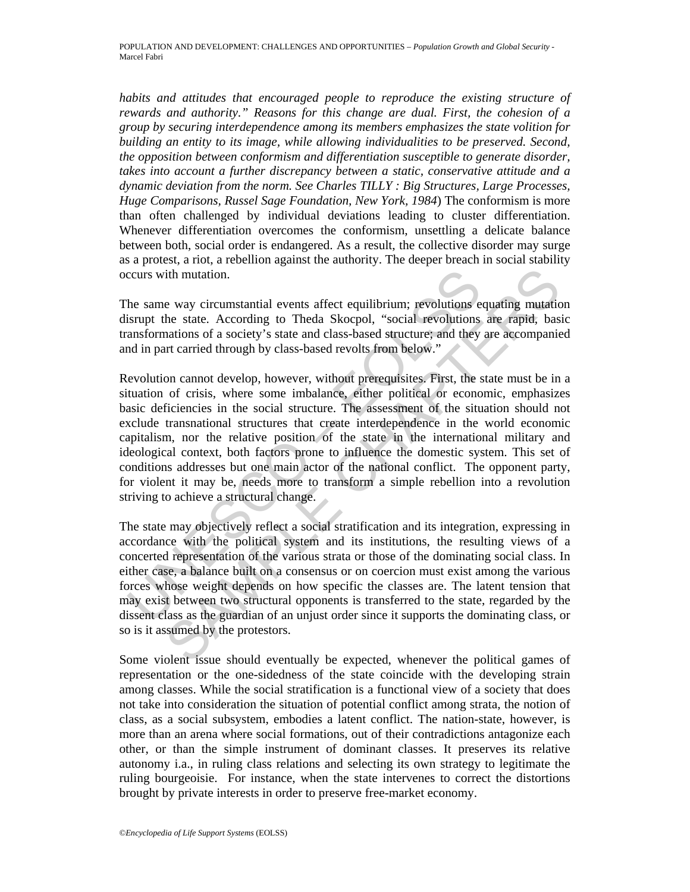*habits and attitudes that encouraged people to reproduce the existing structure of rewards and authority." Reasons for this change are dual. First, the cohesion of a group by securing interdependence among its members emphasizes the state volition for building an entity to its image, while allowing individualities to be preserved. Second, the opposition between conformism and differentiation susceptible to generate disorder, takes into account a further discrepancy between a static, conservative attitude and a dynamic deviation from the norm. See Charles TILLY : Big Structures, Large Processes, Huge Comparisons, Russel Sage Foundation, New York, 1984*) The conformism is more than often challenged by individual deviations leading to cluster differentiation. Whenever differentiation overcomes the conformism, unsettling a delicate balance between both, social order is endangered. As a result, the collective disorder may surge as a protest, a riot, a rebellion against the authority. The deeper breach in social stability occurs with mutation.

The same way circumstantial events affect equilibrium; revolutions equating mutation disrupt the state. According to Theda Skocpol, "social revolutions are rapid, basic transformations of a society's state and class-based structure; and they are accompanied and in part carried through by class-based revolts from below."

ccurs with mutation.<br>
he same way circumstantial events affect equilibrium; revolutions<br>
isrupt the state. According to Theda Skocpol, "social revolutions<br>
ansformations of a society's state and class-based structure; and ith mutation.<br>
ith mutation.<br>
e way circumstantial events affect equilibrium; revolutions equating mutatio<br>
he state. According to Theda Skocpol, "social revolutions are rapid, basi<br>
anations of a society's state and class Revolution cannot develop, however, without prerequisites. First, the state must be in a situation of crisis, where some imbalance, either political or economic, emphasizes basic deficiencies in the social structure. The assessment of the situation should not exclude transnational structures that create interdependence in the world economic capitalism, nor the relative position of the state in the international military and ideological context, both factors prone to influence the domestic system. This set of conditions addresses but one main actor of the national conflict. The opponent party, for violent it may be, needs more to transform a simple rebellion into a revolution striving to achieve a structural change.

The state may objectively reflect a social stratification and its integration, expressing in accordance with the political system and its institutions, the resulting views of a concerted representation of the various strata or those of the dominating social class. In either case, a balance built on a consensus or on coercion must exist among the various forces whose weight depends on how specific the classes are. The latent tension that may exist between two structural opponents is transferred to the state, regarded by the dissent class as the guardian of an unjust order since it supports the dominating class, or so is it assumed by the protestors.

Some violent issue should eventually be expected, whenever the political games of representation or the one-sidedness of the state coincide with the developing strain among classes. While the social stratification is a functional view of a society that does not take into consideration the situation of potential conflict among strata, the notion of class, as a social subsystem, embodies a latent conflict. The nation-state, however, is more than an arena where social formations, out of their contradictions antagonize each other, or than the simple instrument of dominant classes. It preserves its relative autonomy i.a., in ruling class relations and selecting its own strategy to legitimate the ruling bourgeoisie. For instance, when the state intervenes to correct the distortions brought by private interests in order to preserve free-market economy.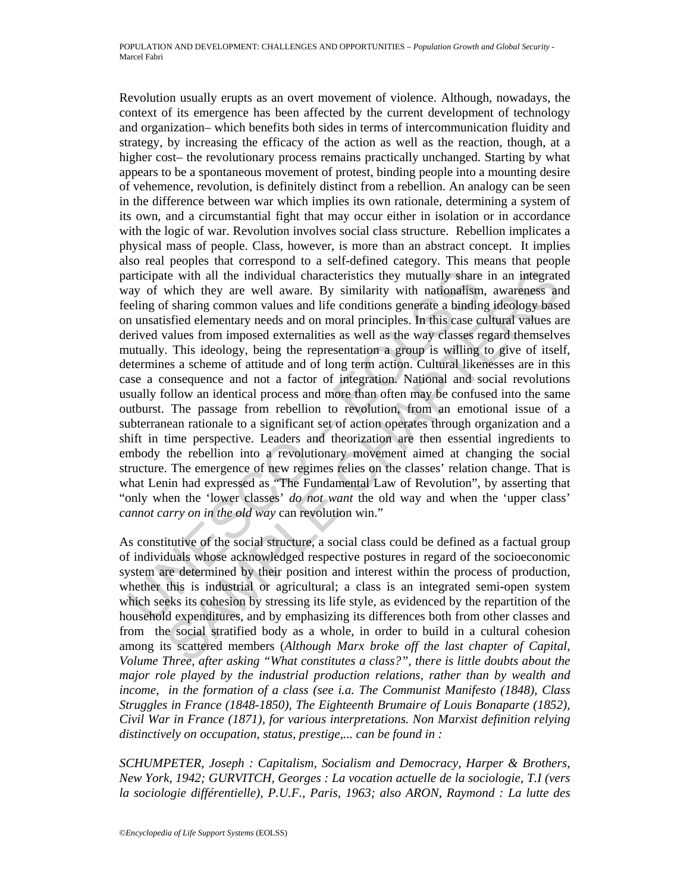articipate with all the individual characteristics they mutually share<br>ay of which they are well aware. By similarity with nationalism<br>elling of sharing common values and life conditions generate a bindin<br>n unstatisted ele ie with all the individual characteristics they mutually share in an integrate<br>which they are well aware. By similarity with nationalism, awareheass and<br>sharing common values and life conditions generate a binding ideolog Revolution usually erupts as an overt movement of violence. Although, nowadays, the context of its emergence has been affected by the current development of technology and organization– which benefits both sides in terms of intercommunication fluidity and strategy, by increasing the efficacy of the action as well as the reaction, though, at a higher cost– the revolutionary process remains practically unchanged. Starting by what appears to be a spontaneous movement of protest, binding people into a mounting desire of vehemence, revolution, is definitely distinct from a rebellion. An analogy can be seen in the difference between war which implies its own rationale, determining a system of its own, and a circumstantial fight that may occur either in isolation or in accordance with the logic of war. Revolution involves social class structure. Rebellion implicates a physical mass of people. Class, however, is more than an abstract concept. It implies also real peoples that correspond to a self-defined category. This means that people participate with all the individual characteristics they mutually share in an integrated way of which they are well aware. By similarity with nationalism, awareness and feeling of sharing common values and life conditions generate a binding ideology based on unsatisfied elementary needs and on moral principles. In this case cultural values are derived values from imposed externalities as well as the way classes regard themselves mutually. This ideology, being the representation a group is willing to give of itself, determines a scheme of attitude and of long term action. Cultural likenesses are in this case a consequence and not a factor of integration. National and social revolutions usually follow an identical process and more than often may be confused into the same outburst. The passage from rebellion to revolution, from an emotional issue of a subterranean rationale to a significant set of action operates through organization and a shift in time perspective. Leaders and theorization are then essential ingredients to embody the rebellion into a revolutionary movement aimed at changing the social structure. The emergence of new regimes relies on the classes' relation change. That is what Lenin had expressed as "The Fundamental Law of Revolution", by asserting that "only when the 'lower classes' *do not want* the old way and when the 'upper class' *cannot carry on in the old way* can revolution win."

As constitutive of the social structure, a social class could be defined as a factual group of individuals whose acknowledged respective postures in regard of the socioeconomic system are determined by their position and interest within the process of production, whether this is industrial or agricultural; a class is an integrated semi-open system which seeks its cohesion by stressing its life style, as evidenced by the repartition of the household expenditures, and by emphasizing its differences both from other classes and from the social stratified body as a whole, in order to build in a cultural cohesion among its scattered members (*Although Marx broke off the last chapter of Capital, Volume Three, after asking "What constitutes a class?", there is little doubts about the major role played by the industrial production relations, rather than by wealth and income, in the formation of a class (see i.a. The Communist Manifesto (1848), Class Struggles in France (1848-1850), The Eighteenth Brumaire of Louis Bonaparte (1852), Civil War in France (1871), for various interpretations. Non Marxist definition relying distinctively on occupation, status, prestige,... can be found in :* 

*SCHUMPETER, Joseph : Capitalism, Socialism and Democracy, Harper & Brothers, New York, 1942; GURVITCH, Georges : La vocation actuelle de la sociologie, T.I (vers la sociologie différentielle), P.U.F., Paris, 1963; also ARON, Raymond : La lutte des*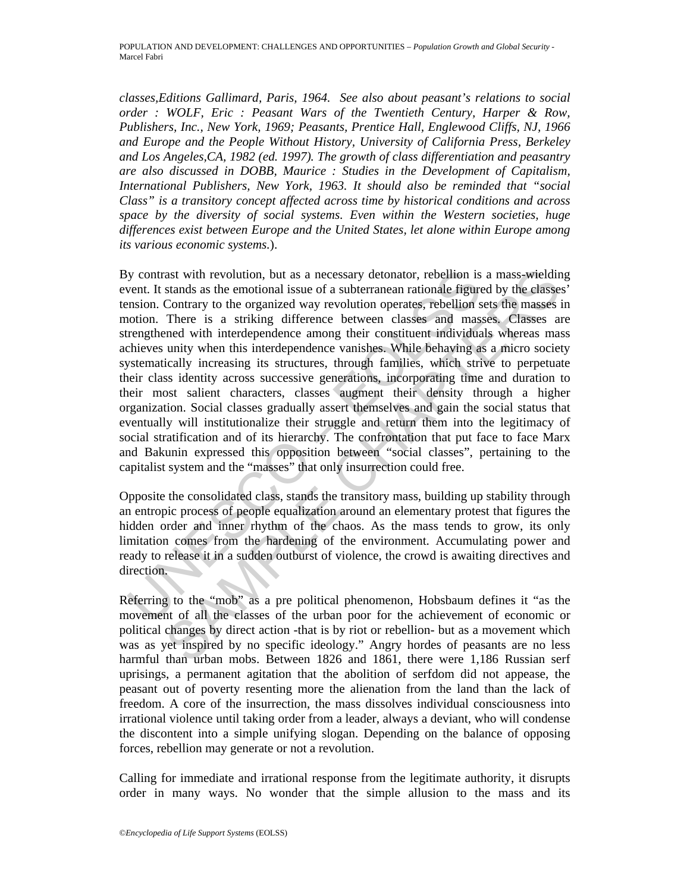*classes,Editions Gallimard, Paris, 1964. See also about peasant's relations to social order : WOLF, Eric : Peasant Wars of the Twentieth Century, Harper & Row, Publishers, Inc., New York, 1969; Peasants, Prentice Hall, Englewood Cliffs, NJ, 1966 and Europe and the People Without History, University of California Press, Berkeley and Los Angeles,CA, 1982 (ed. 1997). The growth of class differentiation and peasantry are also discussed in DOBB, Maurice : Studies in the Development of Capitalism, International Publishers, New York, 1963. It should also be reminded that "social Class" is a transitory concept affected across time by historical conditions and across space by the diversity of social systems. Even within the Western societies, huge differences exist between Europe and the United States, let alone within Europe among its various economic systems.*).

y contrast with revolution, but as a necessary detonator, rebellion is<br>vent. It stands as the emotional issue of a subterranean rationale figure<br>nosion. Contrary to the organized way revolution operates, rebellion s<br>notion ast with revolution, but as a necessary detonator, rebellion is a mass-wield<br>intands as the emotional issue of a subterranean rational efigured by the classes<br>Contrary to the organized way revolution operates, rebellion se By contrast with revolution, but as a necessary detonator, rebellion is a mass-wielding event. It stands as the emotional issue of a subterranean rationale figured by the classes' tension. Contrary to the organized way revolution operates, rebellion sets the masses in motion. There is a striking difference between classes and masses. Classes are strengthened with interdependence among their constituent individuals whereas mass achieves unity when this interdependence vanishes. While behaving as a micro society systematically increasing its structures, through families, which strive to perpetuate their class identity across successive generations, incorporating time and duration to their most salient characters, classes augment their density through a higher organization. Social classes gradually assert themselves and gain the social status that eventually will institutionalize their struggle and return them into the legitimacy of social stratification and of its hierarchy. The confrontation that put face to face Marx and Bakunin expressed this opposition between "social classes", pertaining to the capitalist system and the "masses" that only insurrection could free.

Opposite the consolidated class, stands the transitory mass, building up stability through an entropic process of people equalization around an elementary protest that figures the hidden order and inner rhythm of the chaos. As the mass tends to grow, its only limitation comes from the hardening of the environment. Accumulating power and ready to release it in a sudden outburst of violence, the crowd is awaiting directives and direction.

Referring to the "mob" as a pre political phenomenon, Hobsbaum defines it "as the movement of all the classes of the urban poor for the achievement of economic or political changes by direct action -that is by riot or rebellion- but as a movement which was as yet inspired by no specific ideology." Angry hordes of peasants are no less harmful than urban mobs. Between 1826 and 1861, there were 1,186 Russian serf uprisings, a permanent agitation that the abolition of serfdom did not appease, the peasant out of poverty resenting more the alienation from the land than the lack of freedom. A core of the insurrection, the mass dissolves individual consciousness into irrational violence until taking order from a leader, always a deviant, who will condense the discontent into a simple unifying slogan. Depending on the balance of opposing forces, rebellion may generate or not a revolution.

Calling for immediate and irrational response from the legitimate authority, it disrupts order in many ways. No wonder that the simple allusion to the mass and its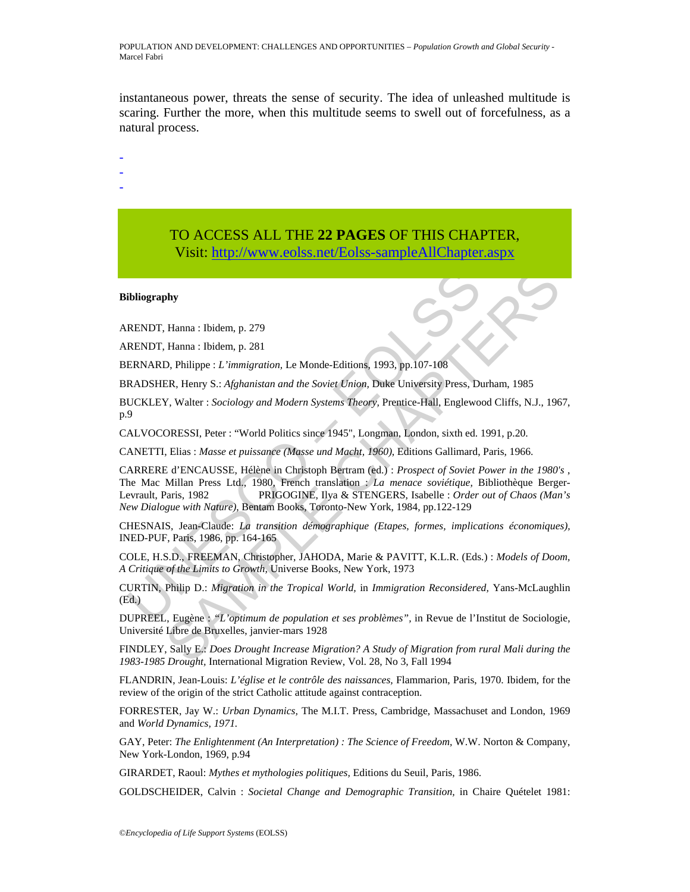instantaneous power, threats the sense of security. The idea of unleashed multitude is scaring. Further the more, when this multitude seems to swell out of forcefulness, as a natural process.

- -

-

# TO ACCESS ALL THE **22 PAGES** OF THIS CHAPTER, Visit: [http://www.eolss.net/Eolss-sampleAllChapter.aspx](https://www.eolss.net/ebooklib/sc_cart.aspx?File=E1-13-04-05)

#### **Bibliography**

ARENDT, Hanna : Ibidem, p. 279

ARENDT, Hanna : Ibidem, p. 281

BERNARD, Philippe : *L'immigration,* Le Monde-Editions, 1993, pp.107-108

BRADSHER, Henry S.: *Afghanistan and the Soviet Union,* Duke University Press, Durham, 1985

BUCKLEY, Walter : *Sociology and Modern Systems Theory,* Prentice-Hall, Englewood Cliffs, N.J., 1967, p.9

CALVOCORESSI, Peter : "World Politics since 1945", Longman, London, sixth ed. 1991, p.20.

CANETTI, Elias : *Masse et puissance (Masse und Macht, 1960)*, Editions Gallimard, Paris, 1966.

**Ibliography**<br>
RENDT, Hanna : Ibidem, p. 279<br>
RENDT, Hanna : Ibidem, p. 281<br>
ERNARD, Philippe : *L'immigration*, Le Monde-Editions, 1993, pp.107-108<br>
RADSHER, Henry S.: *Afghanistan and the Soviet Union*, Duke University P **SAMPLE CONSET (FOR THE CONSET CONSET CONSET (FOR THE CONSET CONSETT)<br>
SER, Henry S.: Afghanistan and the Soviet Union, Duke University Press, Durham, 1985<br>
F. Neury S.: Afghanistan and the Soviet Union, Duke University Pr** CARRERE d'ENCAUSSE, Hélène in Christoph Bertram (ed.) : *Prospect of Soviet Power in the 1980's* , The Mac Millan Press Ltd., 1980, French translation : *La menace soviétique,* Bibliothèque Berger-Levrault, Paris, 1982 PRIGOGINE, Ilya & STENGERS, Isabelle : *Order out of Chaos (Man's New Dialogue with Nature)*, Bentam Books, Toronto-New York, 1984, pp.122-129

CHESNAIS, Jean-Claude: *La transition démographique (Etapes, formes, implications économiques),* INED-PUF, Paris, 1986, pp. 164-165

COLE, H.S.D., FREEMAN, Christopher, JAHODA, Marie & PAVITT, K.L.R. (Eds.) : *Models of Doom, A Critique of the Limits to Growth,* Universe Books, New York, 1973

CURTIN, Philip D.: *Migration in the Tropical World,* in *Immigration Reconsidered,* Yans-McLaughlin (Ed.)

DUPREEL, Eugène : *"L'optimum de population et ses problèmes",* in Revue de l'Institut de Sociologie, Université Libre de Bruxelles, janvier-mars 1928

FINDLEY, Sally E.: *Does Drought Increase Migration? A Study of Migration from rural Mali during the 1983-1985 Drought,* International Migration Review, Vol. 28, No 3, Fall 1994

FLANDRIN, Jean-Louis: *L'église et le contrôle des naissances,* Flammarion, Paris, 1970. Ibidem, for the review of the origin of the strict Catholic attitude against contraception.

FORRESTER, Jay W.: *Urban Dynamics,* The M.I.T. Press, Cambridge, Massachuset and London, 1969 and *World Dynamics, 1971.*

GAY, Peter: *The Enlightenment (An Interpretation) : The Science of Freedom,* W.W. Norton & Company, New York-London, 1969, p.94

GIRARDET, Raoul: *Mythes et mythologies politiques,* Editions du Seuil, Paris, 1986.

GOLDSCHEIDER, Calvin : *Societal Change and Demographic Transition,* in Chaire Quételet 1981: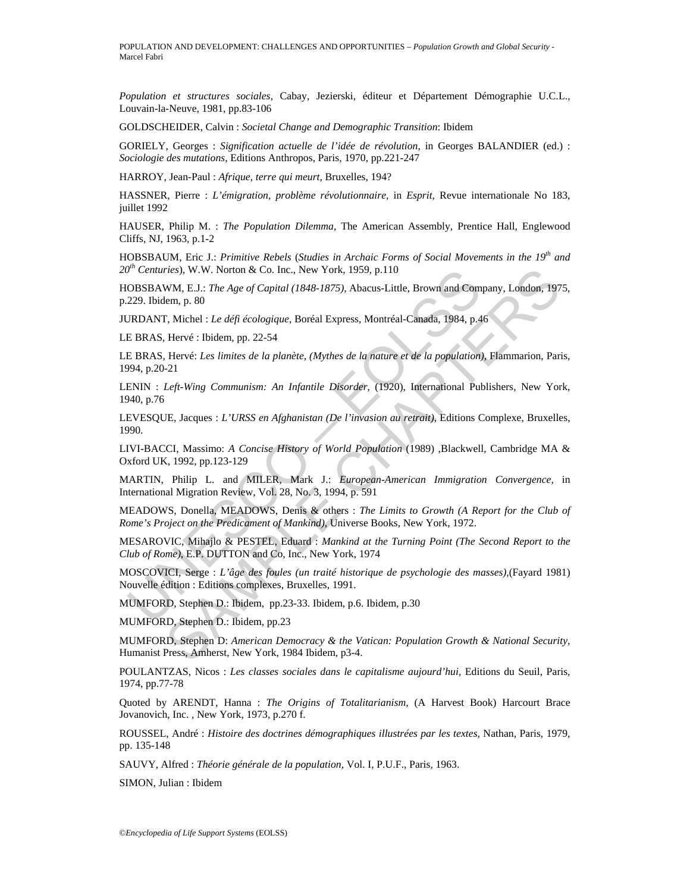*Population et structures sociales*, Cabay, Jezierski, éditeur et Département Démographie U.C.L., Louvain-la-Neuve, 1981, pp.83-106

GOLDSCHEIDER, Calvin : *Societal Change and Demographic Transition*: Ibidem

GORIELY, Georges : *Signification actuelle de l'idée de révolution,* in Georges BALANDIER (ed.) : *Sociologie des mutations*, Editions Anthropos, Paris, 1970, pp.221-247

HARROY, Jean-Paul : *Afrique, terre qui meurt,* Bruxelles, 194?

HASSNER, Pierre : *L'émigration, problème révolutionnaire,* in *Esprit,* Revue internationale No 183, juillet 1992

HAUSER, Philip M. : *The Population Dilemma,* The American Assembly, Prentice Hall, Englewood Cliffs, NJ, 1963, p.1-2

HOBSBAUM, Eric J.: *Primitive Rebels* (*Studies in Archaic Forms of Social Movements in the 19th and 20th Centuries*), W.W. Norton & Co. Inc., New York, 1959, p.110

*F'* Centures), W.W. Notton & Co. Inc., New York, 1959, p.110<br>
OBSBAWM, E.J.: The Age of Capital (1848-1875), Abacus-Little, Brown and Com<br>
229. Ibidem, p. 80<br>
JRDANT, Michel : *Le défi écologique,* Boréal Express, Montréa ries), W.W. Norton & Co. Inc., New York, 1959, p.110<br>
WM, EJ.: *The Age of Capital (1848-1875)*, Abacus-Little, Brown and Company, London, 197<br>
NM, EJ.: *The Age of Capital (1848-1875)*, Abacus-Little, Brown and Company, L HOBSBAWM, E.J.: *The Age of Capital (1848-1875),* Abacus-Little, Brown and Company, London, 1975, p.229. Ibidem, p. 80

JURDANT, Michel : *Le défi écologique,* Boréal Express, Montréal-Canada, 1984, p.46

LE BRAS, Hervé : Ibidem, pp. 22-54

LE BRAS, Hervé: *Les limites de la planète, (Mythes de la nature et de la population)*, Flammarion, Paris, 1994, p.20-21

LENIN : *Left-Wing Communism: An Infantile Disorder,* (1920), International Publishers, New York, 1940, p.76

LEVESQUE, Jacques : *L'URSS en Afghanistan (De l'invasion au retrait),* Editions Complexe, Bruxelles, 1990.

LIVI-BACCI, Massimo: *A Concise History of World Population* (1989) ,Blackwell, Cambridge MA & Oxford UK, 1992, pp.123-129

MARTIN, Philip L. and MILER, Mark J.: *European-American Immigration Convergence,* in International Migration Review, Vol. 28, No. 3, 1994, p. 591

MEADOWS, Donella, MEADOWS, Denis & others : *The Limits to Growth (A Report for the Club of Rome's Project on the Predicament of Mankind)*, Universe Books, New York, 1972.

MESAROVIC, Mihajlo & PESTEL, Eduard : *Mankind at the Turning Point (The Second Report to the Club of Rome)*, E.P. DUTTON and Co, Inc., New York, 1974

MOSCOVICI, Serge : *L'âge des foules (un traité historique de psychologie des masses),*(Fayard 1981) Nouvelle édition : Editions complexes, Bruxelles, 1991.

MUMFORD, Stephen D.: Ibidem, pp.23-33. Ibidem, p.6. Ibidem, p.30

MUMFORD, Stephen D.: Ibidem, pp.23

MUMFORD, Stephen D: *American Democracy & the Vatican: Population Growth & National Security,*  Humanist Press, Amherst, New York, 1984 Ibidem, p3-4.

POULANTZAS, Nicos : *Les classes sociales dans le capitalisme aujourd'hui,* Editions du Seuil, Paris, 1974, pp.77-78

Quoted by ARENDT, Hanna : *The Origins of Totalitarianism,* (A Harvest Book) Harcourt Brace Jovanovich, Inc. , New York, 1973, p.270 f.

ROUSSEL, André : *Histoire des doctrines démographiques illustrées par les textes,* Nathan, Paris, 1979, pp. 135-148

SAUVY, Alfred : *Théorie générale de la population,* Vol. I, P.U.F., Paris, 1963.

SIMON, Julian : Ibidem